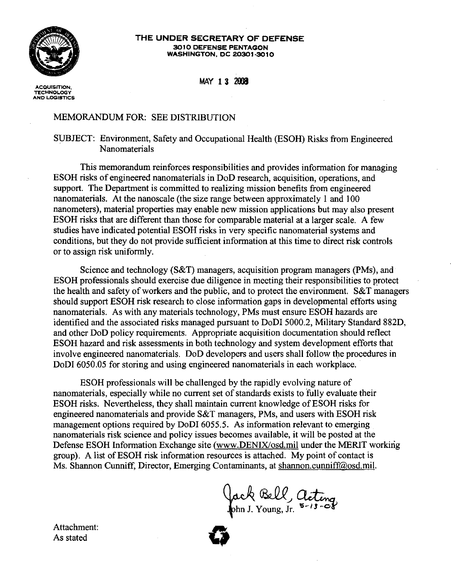

## THE UNDER SECRETARY OF DEFENSE 3010 DEFENSE PENTAGON WASHINGTON. DC 20301-3010

MAY 13 2008

**ACQUISITION, TECHNOLOGY AND LOGISTICS**

## MEMORANDUM FOR: SEE DISTRIBUTION

## SUBJECT: Environment, Safety and Occupational Health (ESOH) Risks from Engineered Nanomaterials

This memorandum reinforces responsibilities and provides information for managing ESOH risks of engineered nanomaterials in DoD research, acquisition, operations, and support. The Department is committed to realizing mission benefits from engineered nanomaterials. At the nanoscale (the size range between approximately 1 and 100 nanometers), material properties may enable new mission applications but may also present ESOH risks that are different than those for comparable material at a larger scale. A few studies have indicated potential ESOH risks in very specific nanomaterial systems and conditions, but they do not provide sufficient information at this time to direct risk controls or to assign risk uniformly.

Science and technology (S&T) managers, acquisition program managers (PMs), and ESOH professionals should exercise due diligence in meeting their responsibilities to protect the health and safety of workers and the public, and to protect the environment. S&T managers should support ESOH risk research to close information gaps in developmental efforts using nanomaterials. As with any materials technology, PMs must ensure ESOH hazards are identified and the associated risks managed pursuant to DoDI 5000.2, Military Standard 882D, and other DoD policy requirements. Appropriate acquisition documentation should reflect ESOH hazard and risk assessments in both technology and system development efforts that involve engineered nanomaterials. DoD developers and users shall follow the procedures in DoDI 6050.05 for storing and using engineered nanomaterials in each workplace.

ESOH professionals will be challenged by the rapidly evolving nature of nanomaterials, especially while no current set of standards exists to fully evaluate their ESOH risks. Nevertheless, they shall maintain current knowledge of ESOH risks for engineered nanomaterials and provide  $S&T$  managers, PMs, and users with ESOH risk management options required by DoDI 6055.5. As information relevant to emerging nanomaterials risk science and policy issues becomes available, it will be posted at the Defense ESOH Information Exchange site (www.DENIX/osd.mil under the MERIT working group). A list of ESOH risk information resources is attached. My point of contact is Ms. Shannon Cunniff, Director, Emerging Contaminants, at shannon.cunniff@osd.miJ.

Attachment: Attachment:<br>As stated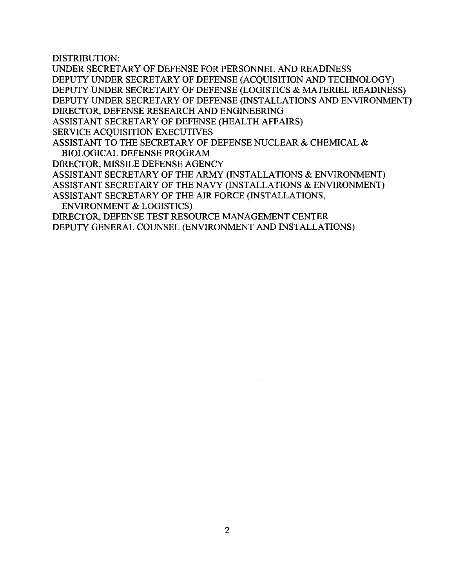DISTRIBUTION:

UNDER SECRETARY OF DEFENSE FOR PERSONNEL AND READINESS DEPUTY UNDER SECRETARY OF DEFENSE (ACQUISITION AND TECHNOLOGY) DEPUTY UNDER SECRETARY OF DEFENSE (LOGISTICS & MATERIEL READINESS) DEPUTY UNDER SECRETARY OF DEFENSE (INSTALLATIONS AND ENVIRONMENT) DIRECTOR, DEFENSE RESEARCH AND ENGINEERING ASSISTANT SECRETARY OF DEFENSE (HEALTH AFFAIRS) SERVICE ACQUISITION EXECUTIVES ASSISTANT TO THE SECRETARY OF DEFENSE NUCLEAR & CHEMICAL & BIOLOGICAL DEFENSE PROGRAM DIRECTOR, MISSILE DEFENSE AGENCY ASSISTANT SECRETARY OF THE ARMY (INSTALLATIONS & ENVIRONMENT) ASSISTANT SECRETARY OF THE NAVY (INSTALLATIONS & ENVIRONMENT) ASSISTANT SECRETARY OF THE AIR FORCE (INSTALLATIONS, ENVIRONMENT & LOGISTICS) DIRECTOR, DEFENSE TEST RESOURCE MANAGEMENT CENTER

DEPUTY GENERAL COUNSEL (ENVIRONMENT AND INSTALLATIONS)